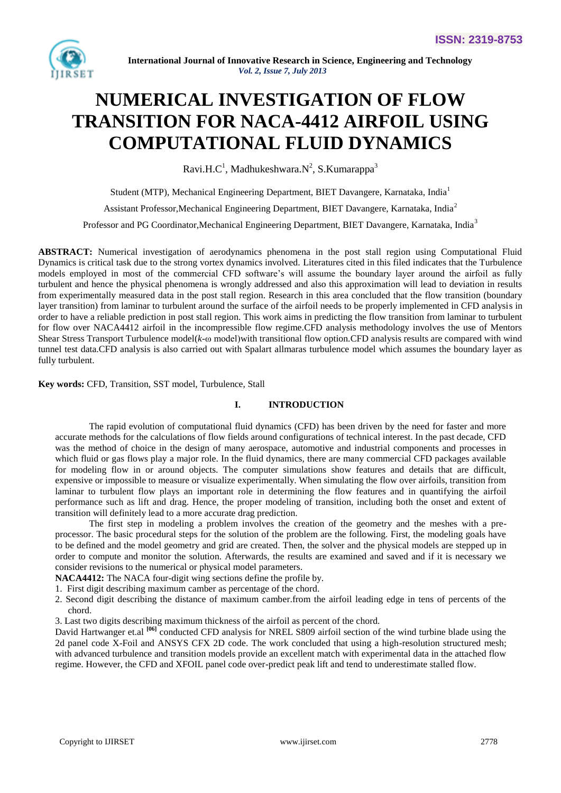

# **NUMERICAL INVESTIGATION OF FLOW TRANSITION FOR NACA-4412 AIRFOIL USING COMPUTATIONAL FLUID DYNAMICS**

Ravi.H.C<sup>1</sup>, Madhukeshwara.N<sup>2</sup>, S.Kumarappa<sup>3</sup>

Student (MTP), Mechanical Engineering Department, BIET Davangere, Karnataka, India<sup>1</sup>

Assistant Professor,Mechanical Engineering Department, BIET Davangere, Karnataka, India<sup>2</sup>

Professor and PG Coordinator,Mechanical Engineering Department, BIET Davangere, Karnataka, India<sup>3</sup>

**ABSTRACT:** Numerical investigation of aerodynamics phenomena in the post stall region using Computational Fluid Dynamics is critical task due to the strong vortex dynamics involved. Literatures cited in this filed indicates that the Turbulence models employed in most of the commercial CFD software's will assume the boundary layer around the airfoil as fully turbulent and hence the physical phenomena is wrongly addressed and also this approximation will lead to deviation in results from experimentally measured data in the post stall region. Research in this area concluded that the flow transition (boundary layer transition) from laminar to turbulent around the surface of the airfoil needs to be properly implemented in CFD analysis in order to have a reliable prediction in post stall region. This work aims in predicting the flow transition from laminar to turbulent for flow over NACA4412 airfoil in the incompressible flow regime.CFD analysis methodology involves the use of Mentors Shear Stress Transport Turbulence model(*k-*ω model)with transitional flow option.CFD analysis results are compared with wind tunnel test data.CFD analysis is also carried out with Spalart allmaras turbulence model which assumes the boundary layer as fully turbulent.

**Key words:** CFD, Transition, SST model, Turbulence, Stall

# **I. INTRODUCTION**

The rapid evolution of computational fluid dynamics (CFD) has been driven by the need for faster and more accurate methods for the calculations of flow fields around configurations of technical interest. In the past decade, CFD was the method of choice in the design of many aerospace, automotive and industrial components and processes in which fluid or gas flows play a major role. In the fluid dynamics, there are many commercial CFD packages available for modeling flow in or around objects. The computer simulations show features and details that are difficult, expensive or impossible to measure or visualize experimentally. When simulating the flow over airfoils, transition from laminar to turbulent flow plays an important role in determining the flow features and in quantifying the airfoil performance such as lift and drag. Hence, the proper modeling of transition, including both the onset and extent of transition will definitely lead to a more accurate drag prediction.

The first step in modeling a problem involves the creation of the geometry and the meshes with a preprocessor. The basic procedural steps for the solution of the problem are the following. First, the modeling goals have to be defined and the model geometry and grid are created. Then, the solver and the physical models are stepped up in order to compute and monitor the solution. Afterwards, the results are examined and saved and if it is necessary we consider revisions to the numerical or physical model parameters.

**NACA4412:** The NACA four-digit wing sections define the profile by.

1. First digit describing maximum [camber](http://en.wikipedia.org/wiki/Camber_(aerodynamics)) as percentage of the [chord.](http://en.wikipedia.org/wiki/Chord_(aircraft))

2. Second digit describing the distance of maximum camber.from the airfoil leading edge in tens of percents of the chord.

3. Last two digits describing maximum thickness of the airfoil as percent of the chord.

David Hartwanger et.al <sup>[06]</sup> conducted CFD analysis for NREL S809 airfoil section of the wind turbine blade using the 2d panel code X-Foil and ANSYS CFX 2D code. The work concluded that using a high-resolution structured mesh; with advanced turbulence and transition models provide an excellent match with experimental data in the attached flow regime. However, the CFD and XFOIL panel code over-predict peak lift and tend to underestimate stalled flow.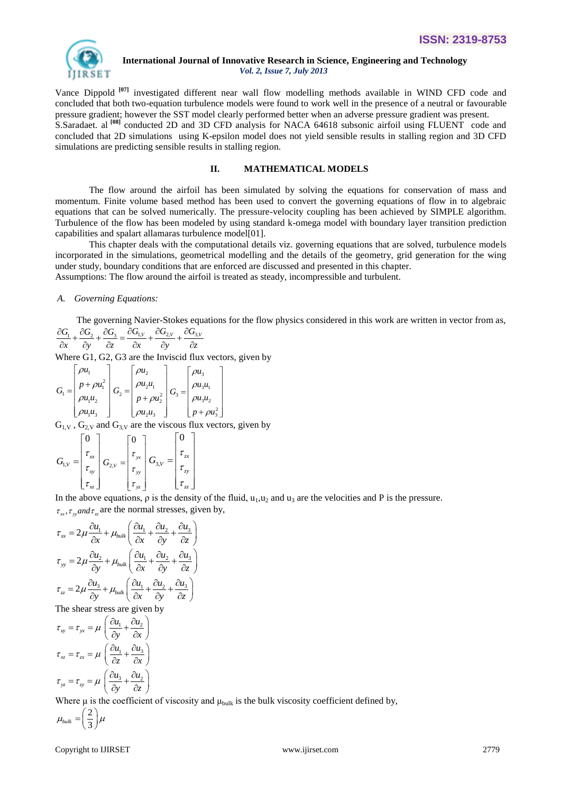

Vance Dippold **[07]** investigated different near wall flow modelling methods available in WIND CFD code and concluded that both two-equation turbulence models were found to work well in the presence of a neutral or favourable pressure gradient; however the SST model clearly performed better when an adverse pressure gradient was present. S.Saradaet. al **[08]** conducted 2D and 3D CFD analysis for NACA 64618 subsonic airfoil using FLUENT code and concluded that 2D simulations using K-epsilon model does not yield sensible results in stalling region and 3D CFD simulations are predicting sensible results in stalling region.

#### **II. MATHEMATICAL MODELS**

The flow around the airfoil has been simulated by solving the equations for conservation of mass and momentum. Finite volume based method has been used to convert the governing equations of flow in to algebraic equations that can be solved numerically. The pressure-velocity coupling has been achieved by SIMPLE algorithm. Turbulence of the flow has been modeled by using standard k-omega model with boundary layer transition prediction capabilities and spalart allamaras turbulence model[01].

This chapter deals with the computational details viz. governing equations that are solved, turbulence models incorporated in the simulations, geometrical modelling and the details of the geometry, grid generation for the wing under study, boundary conditions that are enforced are discussed and presented in this chapter. Assumptions: The flow around the airfoil is treated as steady, incompressible and turbulent.

# *A. Governing Equations:*

The governing Navier-Stokes equations for the flow physics considered in this work are written in vector from as,<br> $\frac{\partial G_1}{\partial x} + \frac{\partial G_2}{\partial y} + \frac{\partial G_3}{\partial z} = \frac{\partial G_{1,V}}{\partial x} + \frac{\partial G_{2,V}}{\partial y} + \frac{\partial G_{3,V}}{\partial z}$ 

$$
\frac{\partial G_1}{\partial x} + \frac{\partial G_2}{\partial y} + \frac{\partial G_3}{\partial z} = \frac{\partial G_{1,V}}{\partial x} + \frac{\partial G_{2,V}}{\partial y} + \frac{\partial G_{3,V}}{\partial z}
$$

Where G1, G2, G3 are the Inviscid flux vectors, given by

$$
G_{1} = \begin{bmatrix} \rho u_{1} \\ p + \rho u_{1}^{2} \\ \rho u_{1} u_{2} \\ \rho u_{1} u_{3} \end{bmatrix} G_{2} = \begin{bmatrix} \rho u_{2} \\ \rho u_{2} u_{1} \\ p + \rho u_{2}^{2} \\ \rho u_{2} u_{3} \end{bmatrix} G_{3} = \begin{bmatrix} \rho u_{3} \\ \rho u_{3} u_{1} \\ \rho u_{3} u_{2} \\ \rho u_{2} u_{3} \end{bmatrix}
$$

 $G_{1,V}$ ,  $G_{2,V}$  and  $G_{3,V}$  are the viscous flux vectors, given by

$$
G_{1,V} = \begin{bmatrix} 0 \\ \tau_{xx} \\ \tau_{xy} \\ \tau_{xz} \end{bmatrix} G_{2,V} = \begin{bmatrix} 0 \\ \tau_{yx} \\ \tau_{yy} \\ \tau_{yz} \end{bmatrix} G_{3,V} = \begin{bmatrix} 0 \\ \tau_{zx} \\ \tau_{zy} \\ \tau_{zz} \end{bmatrix}
$$

In the above equations,  $\rho$  is the density of the fluid,  $u_1, u_2$  and  $u_3$  are the velocities and P is the pressure.

$$
\tau_{xx}, \tau_{yy} \text{ and } \tau_{zz} \text{ are the normal stresses, given by,}
$$
\n
$$
\tau_{xx} = 2\mu \frac{\partial u_1}{\partial x} + \mu_{bulk} \left( \frac{\partial u_1}{\partial x} + \frac{\partial u_2}{\partial y} + \frac{\partial u_3}{\partial z} \right)
$$
\n
$$
\tau_{yy} = 2\mu \frac{\partial u_2}{\partial y} + \mu_{bulk} \left( \frac{\partial u_1}{\partial x} + \frac{\partial u_2}{\partial y} + \frac{\partial u_3}{\partial z} \right)
$$
\n
$$
\tau_{zz} = 2\mu \frac{\partial u_3}{\partial y} + \mu_{bulk} \left( \frac{\partial u_1}{\partial x} + \frac{\partial u_2}{\partial y} + \frac{\partial u_3}{\partial z} \right)
$$

The shear stress are given by<br> $\tau = \tau = u \left( \frac{\partial u_1}{\partial u_2} \right)$ 

$$
\tau_{xy} = \tau_{yx} = \mu \left( \frac{\partial u_1}{\partial y} + \frac{\partial u_2}{\partial x} \right)
$$

$$
\tau_{xz} = \tau_{zx} = \mu \left( \frac{\partial u_1}{\partial z} + \frac{\partial u_3}{\partial x} \right)
$$

$$
\tau_{yz} = \tau_{zy} = \mu \left( \frac{\partial u_3}{\partial y} + \frac{\partial u_2}{\partial z} \right)
$$

Where  $\mu$  is the coefficient of viscosity and  $\mu_{bulk}$  is the bulk viscosity coefficient defined by,

$$
\mu_{bulk} = \left(\frac{2}{3}\right)\mu
$$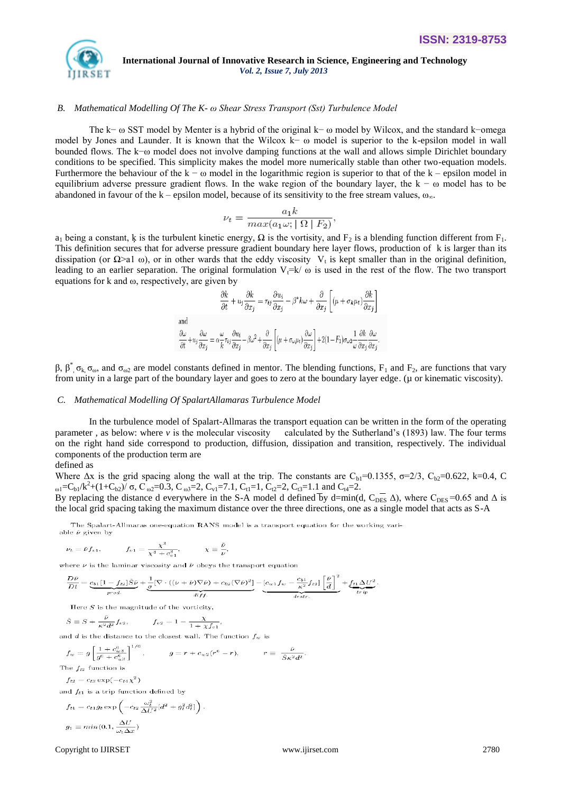

#### *B. Mathematical Modelling Of The K- ω Shear Stress Transport (Sst) Turbulence Model*

The k− ω SST model by Menter is a hybrid of the original k− ω model by Wilcox, and the standard k−omega model by Jones and Launder. It is known that the Wilcox k− ω model is superior to the k-epsilon model in wall bounded flows. The k−ω model does not involve damping functions at the wall and allows simple Dirichlet boundary conditions to be specified. This simplicity makes the model more numerically stable than other two-equation models. Furthermore the behaviour of the  $k - \omega$  model in the logarithmic region is superior to that of the  $k -$  epsilon model in equilibrium adverse pressure gradient flows. In the wake region of the boundary layer, the  $k - \omega$  model has to be abandoned in favour of the k – epsilon model, because of its sensitivity to the free stream values,  $\omega_{\infty}$ .

$$
\nu_t = \frac{a_1 k}{\max(a_1 \omega; |\Omega| |F_2)}
$$

 $a_1$  being a constant, k is the turbulent kinetic energy,  $\Omega$  is the vortisity, and  $F_2$  is a blending function different from  $F_1$ . This definition secures that for adverse pressure gradient boundary here layer flows, production of k is larger than its dissipation (or  $\Omega$ >al ω), or in other wards that the eddy viscosity V<sub>t</sub> is kept smaller than in the original definition, leading to an earlier separation. The original formulation  $V_1= k/\omega$  is used in the rest of the flow. The two transport equations for k and  $\omega$ , respectively, are given by

$$
\frac{\partial k}{\partial t} + u_j \frac{\partial k}{\partial x_j} = \tau_{ij} \frac{\partial u_i}{\partial x_j} - \beta^* k \omega + \frac{\partial}{\partial x_j} \left[ (\mu + \sigma_k \mu_t) \frac{\partial k}{\partial x_j} \right]
$$
  
and  

$$
\frac{\partial \omega}{\partial t} + u_j \frac{\partial \omega}{\partial x_j} = \alpha \frac{\omega}{k} \tau_{ij} \frac{\partial u_i}{\partial x_j} - \beta \omega^2 + \frac{\partial}{\partial x_j} \left[ (\mu + \sigma_\omega \mu_t) \frac{\partial \omega}{\partial x_j} \right] + 2(1 - F_1) \sigma_\omega 2 \frac{1}{\omega} \frac{\partial k}{\partial x_j} \frac{\partial \omega}{\partial x_j}.
$$

β,  $β^*$ ,  $σ_κ$ ,  $σ_ω$ , and  $σ_ω_2$  are model constants defined in mentor. The blending functions,  $F_1$  and  $F_2$ , are functions that vary from unity in a large part of the boundary layer and goes to zero at the boundary layer edge. (µ or kinematic viscosity).

#### *C. Mathematical Modelling Of SpalartAllamaras Turbulence Model*

In the turbulence model of Spalart-Allmaras the transport equation can be written in the form of the operating parameter , as below: where *v* is the molecular viscosity calculated by the Sutherland's (1893) law. The four terms on the right hand side correspond to production, diffusion, dissipation and transition, respectively. The individual components of the production term are

defined as

Where  $\Delta x$  is the grid spacing along the wall at the trip. The constants are  $C_{b1}=0.1355$ ,  $\sigma=2/3$ ,  $C_{b2}=0.622$ , k=0.4, C <sub>ω1</sub>=C<sub>b1</sub>/k<sup>2</sup>+(1+C<sub>b2</sub>)/ σ, C<sub>ω2</sub>=0.3, C<sub>ω3</sub>=2, C<sub>v1</sub>=7.1, C<sub>t1</sub>=1, C<sub>t2</sub>=2, C<sub>t3</sub>=1.1 and C<sub>t4</sub>=2.

By replacing the distance d everywhere in the S-A model d defined by d=min(d,  $C_{\text{DES}}$   $\Delta$ ), where  $C_{\text{DES}}$ =0.65 and  $\Delta$  is the local grid spacing taking the maximum distance over the three directions, one as a single model that acts as S-A

The Spalart-Allmaras one-equation RANS model is a transport equation for the working variable  $\bar{\nu}$  given by

$$
\nu_t = \bar{\nu} f_{v1}, \qquad \qquad f_{v1} = \frac{\chi^3}{\chi^3 + c_{v1}^3}, \qquad \qquad \chi \equiv \frac{\bar{\nu}}{\nu},
$$

where  $\nu$  is the laminar viscosity and  $\bar{\nu}$  obeys the transport equation

$$
\frac{D\bar{\nu}}{Dt} = \underbrace{c_{b1}[1 - f_{t2}]\tilde{S}\bar{\nu}}_{prod} + \underbrace{\frac{1}{\sigma}[\nabla \cdot ((\nu + \bar{\nu})\nabla \bar{\nu}) + c_{b2}(\nabla \bar{\nu})^2]}_{diff} - \underbrace{[c_{w1}f_w - \frac{c_{b1}}{\kappa^2}f_{t2}]\left[\frac{\bar{\nu}}{d}\right]^2}_{d\text{extr.}} + \underbrace{f_{t1}\Delta U^2}_{trip}.
$$

Here  $S$  is the magnitude of the vorticity.

$$
\bar{S} \equiv S + \frac{\bar{b}}{\kappa^2 d^2} f_{v2}, \qquad f_{v2} = 1 - \frac{\chi}{1 + \chi f_{v1}}.
$$

and  $d$  is the distance to the closest wall. The function  $f_w$  is

$$
f_w = g \left[ \frac{1 + c_{w3}^6}{g^6 + c_{w3}^6} \right]^{1/6}, \qquad g = r + c_{w2}(r^6 - r), \qquad r \equiv \frac{\bar{\nu}}{\bar{S}\kappa^2 d^2}
$$

The  $f_{t2}$  function is

 $f_{t2} = c_{t3} \exp(-c_{t4} \chi^2)$ 

and  $f_{t1}$  is a trip function defined by

$$
f_{t1} = c_{t1}g_t \exp\left(-c_{t2} \frac{\omega_t^2}{\Delta U^2} [d^2 + g_t^2 d_t^2]\right).
$$
  

$$
g_t \equiv \min(0.1, \frac{\Delta U}{\omega_t \Delta x})
$$

Copyright to IJIRSET [www.ijirset.com](http://www.ijirset.com/) 2780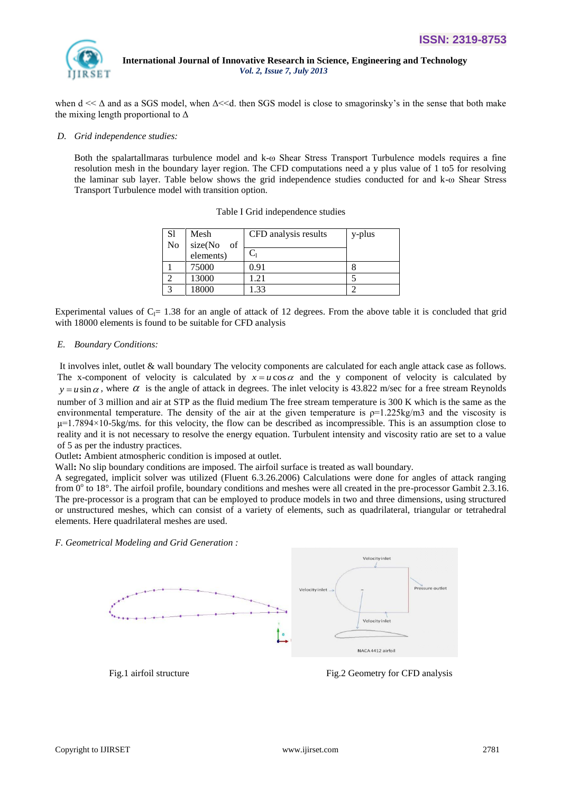

when  $d \ll \Delta$  and as a SGS model, when  $\Delta \ll d$ , then SGS model is close to smagorinsky's in the sense that both make the mixing length proportional to  $\Delta$ 

#### *D. Grid independence studies:*

Both the spalartallmaras turbulence model and k-ω Shear Stress Transport Turbulence models requires a fine resolution mesh in the boundary layer region. The CFD computations need a y plus value of 1 to5 for resolving the laminar sub layer. Table below shows the grid independence studies conducted for and k-ω Shear Stress Transport Turbulence model with transition option.

| S1<br>No     | Mesh<br>size(No<br>of | CFD analysis results | y-plus |
|--------------|-----------------------|----------------------|--------|
|              | elements)             | $C_1$                |        |
|              | 75000                 | 0.91                 |        |
|              | 13000                 | .21                  |        |
| $\mathbf{c}$ | 18000                 | .33                  |        |

### Table I Grid independence studies

Experimental values of  $C_1 = 1.38$  for an angle of attack of 12 degrees. From the above table it is concluded that grid with 18000 elements is found to be suitable for CFD analysis

### *E. Boundary Conditions:*

It involves inlet, outlet & wall boundary The velocity components are calculated for each angle attack case as follows. The x-component of velocity is calculated by  $x = u \cos \alpha$  and the y component of velocity is calculated by  $y = u \sin \alpha$ , where  $\alpha$  is the angle of attack in degrees. The inlet velocity is 43.822 m/sec for a free stream Reynolds number of 3 million and air at STP as the fluid medium The free stream temperature is 300 K which is the same as the environmental temperature. The density of the air at the given temperature is  $p=1.225 \text{kg/m}^3$  and the viscosity is  $\mu$ =1.7894×10-5kg/ms. for this velocity, the flow can be described as incompressible. This is an assumption close to reality and it is not necessary to resolve the energy equation. Turbulent intensity and viscosity ratio are set to a value of 5 as per the industry practices.

Outlet**:** Ambient atmospheric condition is imposed at outlet.

Wall**:** No slip boundary conditions are imposed. The airfoil surface is treated as wall boundary.

A segregated, implicit solver was utilized (Fluent 6.3.26.2006) Calculations were done for angles of attack ranging from  $0^{\circ}$  to 18°. The airfoil profile, boundary conditions and meshes were all created in the pre-processor Gambit 2.3.16. The pre-processor is a program that can be employed to produce models in two and three dimensions, using structured or unstructured meshes, which can consist of a variety of elements, such as quadrilateral, triangular or tetrahedral elements. Here quadrilateral meshes are used.

*F. Geometrical Modeling and Grid Generation :* 



Fig.1 airfoil structure Fig.2 Geometry for CFD analysis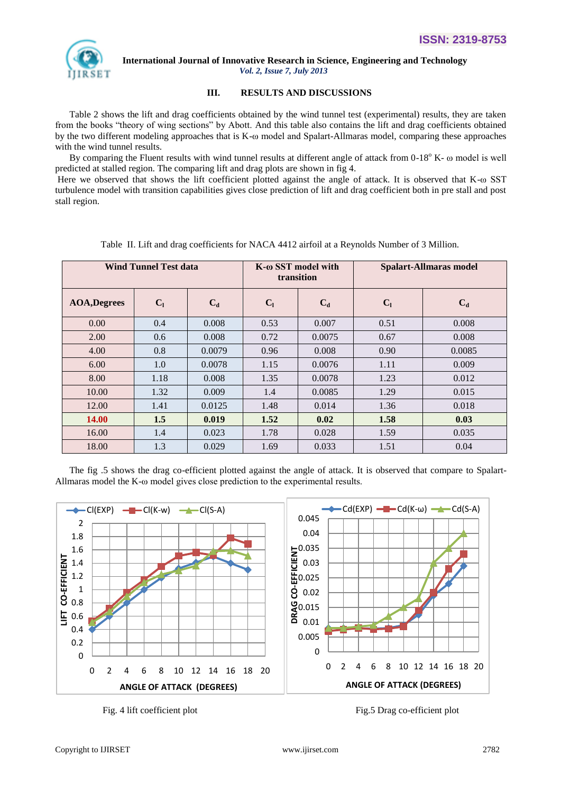

# **III. RESULTS AND DISCUSSIONS**

 Table 2 shows the lift and drag coefficients obtained by the wind tunnel test (experimental) results, they are taken from the books "theory of wing sections" by Abott. And this table also contains the lift and drag coefficients obtained by the two different modeling approaches that is K-ω model and Spalart-Allmaras model, comparing these approaches with the wind tunnel results.

By comparing the Fluent results with wind tunnel results at different angle of attack from  $0-18^{\circ}$  K-  $\omega$  model is well predicted at stalled region. The comparing lift and drag plots are shown in fig 4.

Here we observed that shows the lift coefficient plotted against the angle of attack. It is observed that K-ω SST turbulence model with transition capabilities gives close prediction of lift and drag coefficient both in pre stall and post stall region.

| <b>Wind Tunnel Test data</b> |                |        | K-ω SST model with<br>transition |        | <b>Spalart-Allmaras model</b> |        |
|------------------------------|----------------|--------|----------------------------------|--------|-------------------------------|--------|
| <b>AOA,Degrees</b>           | C <sub>1</sub> | $C_d$  | C <sub>1</sub>                   | $C_d$  | C <sub>1</sub>                | $C_d$  |
| 0.00                         | 0.4            | 0.008  | 0.53                             | 0.007  | 0.51                          | 0.008  |
| 2.00                         | 0.6            | 0.008  | 0.72                             | 0.0075 | 0.67                          | 0.008  |
| 4.00                         | 0.8            | 0.0079 | 0.96                             | 0.008  | 0.90                          | 0.0085 |
| 6.00                         | 1.0            | 0.0078 | 1.15                             | 0.0076 | 1.11                          | 0.009  |
| 8.00                         | 1.18           | 0.008  | 1.35                             | 0.0078 | 1.23                          | 0.012  |
| 10.00                        | 1.32           | 0.009  | 1.4                              | 0.0085 | 1.29                          | 0.015  |
| 12.00                        | 1.41           | 0.0125 | 1.48                             | 0.014  | 1.36                          | 0.018  |
| <b>14.00</b>                 | 1.5            | 0.019  | 1.52                             | 0.02   | 1.58                          | 0.03   |
| 16.00                        | 1.4            | 0.023  | 1.78                             | 0.028  | 1.59                          | 0.035  |
| 18.00                        | 1.3            | 0.029  | 1.69                             | 0.033  | 1.51                          | 0.04   |

Table II. Lift and drag coefficients for NACA 4412 airfoil at a Reynolds Number of 3 Million.

 The fig .5 shows the drag co-efficient plotted against the angle of attack. It is observed that compare to Spalart-Allmaras model the K-ω model gives close prediction to the experimental results.



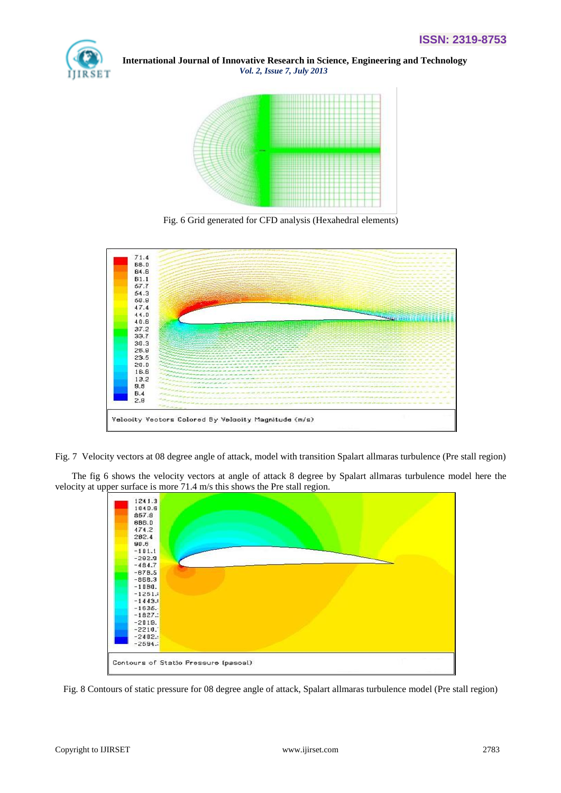



Fig. 6 Grid generated for CFD analysis (Hexahedral elements)



Fig. 7 Velocity vectors at 08 degree angle of attack, model with transition Spalart allmaras turbulence (Pre stall region)

 The fig 6 shows the velocity vectors at angle of attack 8 degree by Spalart allmaras turbulence model here the velocity at upper surface is more 71.4 m/s this shows the Pre stall region.



Fig. 8 Contours of static pressure for 08 degree angle of attack, Spalart allmaras turbulence model (Pre stall region)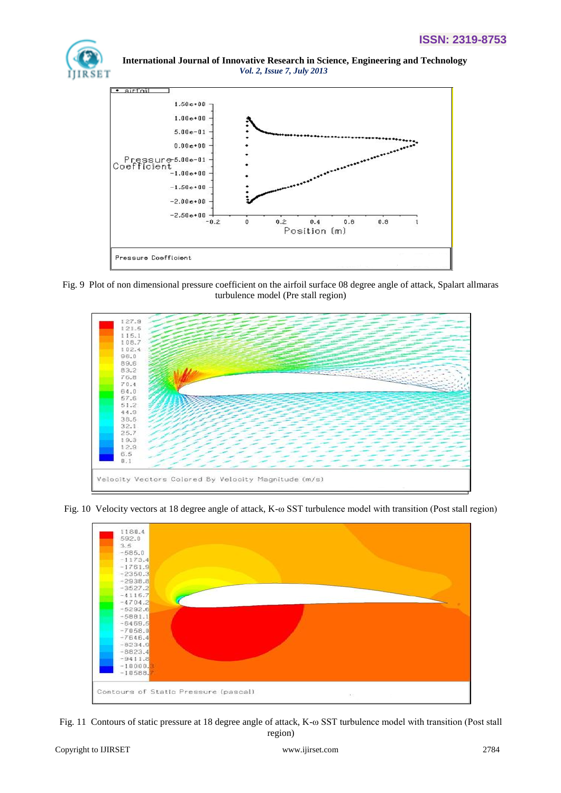



Fig. 9 Plot of non dimensional pressure coefficient on the airfoil surface 08 degree angle of attack, Spalart allmaras turbulence model (Pre stall region)



Fig. 10 Velocity vectors at 18 degree angle of attack, K-ω SST turbulence model with transition (Post stall region)



Fig. 11 Contours of static pressure at 18 degree angle of attack, K-ω SST turbulence model with transition (Post stall region)